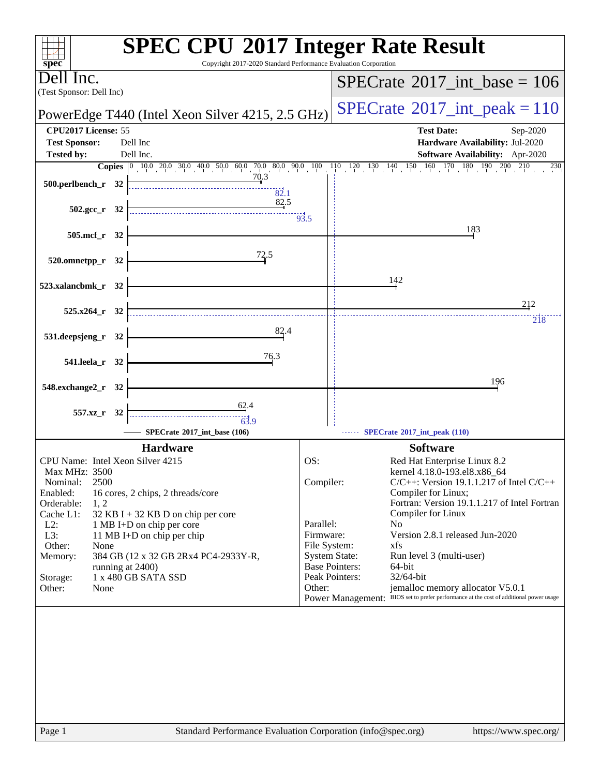| Copyright 2017-2020 Standard Performance Evaluation Corporation<br>$spec^*$ | <b>SPEC CPU®2017 Integer Rate Result</b>                                                   |
|-----------------------------------------------------------------------------|--------------------------------------------------------------------------------------------|
| Dell Inc.                                                                   | $SPECTate$ <sup>®</sup> 2017_int_base = 106                                                |
| (Test Sponsor: Dell Inc)                                                    |                                                                                            |
| PowerEdge T440 (Intel Xeon Silver 4215, 2.5 GHz)                            | $SPECrate@2017(int _peak = 110$                                                            |
| CPU2017 License: 55<br><b>Test Sponsor:</b><br>Dell Inc                     | <b>Test Date:</b><br>Sep-2020<br>Hardware Availability: Jul-2020                           |
| Dell Inc.<br><b>Tested by:</b>                                              | <b>Software Availability:</b> Apr-2020                                                     |
|                                                                             | $160 - 170$<br>$180$ , $190$ , $200$<br>210<br>230                                         |
| 500.perlbench_r 32<br>82.1                                                  |                                                                                            |
| 82.5<br>$502.\text{gcc}_r$ 32                                               | 93.5                                                                                       |
| 505.mcf_r 32                                                                | 183                                                                                        |
| 72.5                                                                        |                                                                                            |
| 520.omnetpp_r 32                                                            |                                                                                            |
| 523.xalancbmk_r 32                                                          | 142                                                                                        |
| 525.x264_r 32                                                               | 212                                                                                        |
|                                                                             | 218                                                                                        |
| 82.4<br>531.deepsjeng_r 32                                                  |                                                                                            |
| 76.3<br>541.leela_r 32                                                      |                                                                                            |
|                                                                             | 196                                                                                        |
| 548.exchange2_r<br>- 32                                                     |                                                                                            |
| 62.4<br>557.xz_r 32<br>$\frac{1}{63.9}$                                     |                                                                                            |
| SPECrate®2017_int_base (106)                                                | SPECrate*2017_int_peak (110)                                                               |
| <b>Hardware</b>                                                             | <b>Software</b>                                                                            |
| CPU Name: Intel Xeon Silver 4215                                            | OS:<br>Red Hat Enterprise Linux 8.2                                                        |
| Max MHz: 3500<br>2500<br>Nominal:                                           | kernel 4.18.0-193.el8.x86_64<br>$C/C++$ : Version 19.1.1.217 of Intel $C/C++$<br>Compiler: |
| Enabled:<br>16 cores, 2 chips, 2 threads/core                               | Compiler for Linux;                                                                        |
| Orderable:<br>1, 2<br>Cache L1:<br>$32$ KB I + 32 KB D on chip per core     | Fortran: Version 19.1.1.217 of Intel Fortran<br>Compiler for Linux                         |
| $L2$ :<br>1 MB I+D on chip per core                                         | Parallel:<br>N <sub>0</sub>                                                                |
| L3:<br>11 MB I+D on chip per chip<br>Other:                                 | Version 2.8.1 released Jun-2020<br>Firmware:<br>File System:<br>xfs                        |
| None<br>Memory:<br>384 GB (12 x 32 GB 2Rx4 PC4-2933Y-R,                     | <b>System State:</b><br>Run level 3 (multi-user)                                           |
| running at 2400)                                                            | <b>Base Pointers:</b><br>64-bit                                                            |
| 1 x 480 GB SATA SSD<br>Storage:<br>Other:<br>None                           | Peak Pointers:<br>32/64-bit<br>jemalloc memory allocator V5.0.1<br>Other:                  |
|                                                                             | Power Management: BIOS set to prefer performance at the cost of additional power usage     |
|                                                                             |                                                                                            |
|                                                                             |                                                                                            |
|                                                                             |                                                                                            |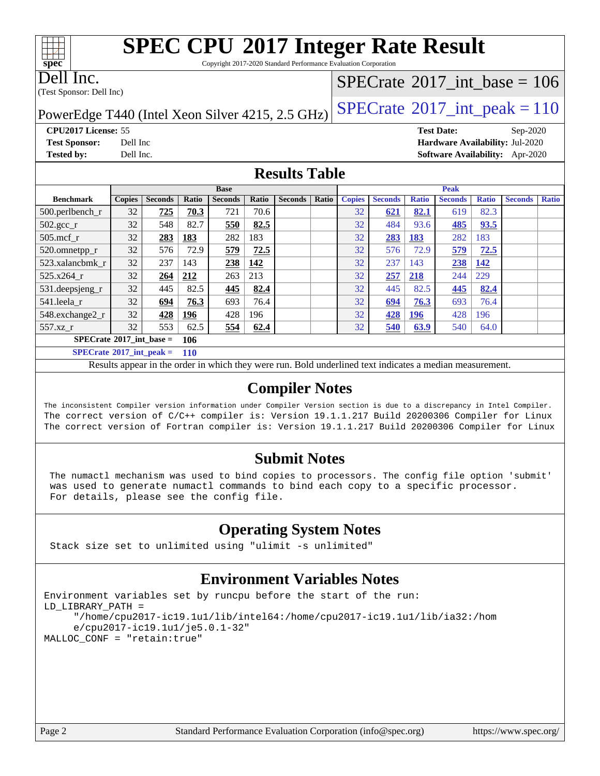## **[SPEC CPU](http://www.spec.org/auto/cpu2017/Docs/result-fields.html#SPECCPU2017IntegerRateResult)[2017 Integer Rate Result](http://www.spec.org/auto/cpu2017/Docs/result-fields.html#SPECCPU2017IntegerRateResult)** Copyright 2017-2020 Standard Performance Evaluation Corporation

Dell Inc.

**[spec](http://www.spec.org/)**

 $+\ +$ 

(Test Sponsor: Dell Inc)

## $SPECTate@2017_int\_base = 106$

# PowerEdge T440 (Intel Xeon Silver 4215, 2.5 GHz)  $\text{SPECrate}$  $\text{SPECrate}$  $\text{SPECrate}$ <sup>®</sup>[2017\\_int\\_peak = 1](http://www.spec.org/auto/cpu2017/Docs/result-fields.html#SPECrate2017intpeak)10

**[CPU2017 License:](http://www.spec.org/auto/cpu2017/Docs/result-fields.html#CPU2017License)** 55 **[Test Date:](http://www.spec.org/auto/cpu2017/Docs/result-fields.html#TestDate)** Sep-2020 **[Test Sponsor:](http://www.spec.org/auto/cpu2017/Docs/result-fields.html#TestSponsor)** Dell Inc **[Hardware Availability:](http://www.spec.org/auto/cpu2017/Docs/result-fields.html#HardwareAvailability)** Jul-2020 **[Tested by:](http://www.spec.org/auto/cpu2017/Docs/result-fields.html#Testedby)** Dell Inc. **[Software Availability:](http://www.spec.org/auto/cpu2017/Docs/result-fields.html#SoftwareAvailability)** Apr-2020

## **[Results Table](http://www.spec.org/auto/cpu2017/Docs/result-fields.html#ResultsTable)**

|                                         | <b>Base</b>   |                |            |                | <b>Peak</b> |                |       |               |                |              |                |              |                |              |
|-----------------------------------------|---------------|----------------|------------|----------------|-------------|----------------|-------|---------------|----------------|--------------|----------------|--------------|----------------|--------------|
| <b>Benchmark</b>                        | <b>Copies</b> | <b>Seconds</b> | Ratio      | <b>Seconds</b> | Ratio       | <b>Seconds</b> | Ratio | <b>Copies</b> | <b>Seconds</b> | <b>Ratio</b> | <b>Seconds</b> | <b>Ratio</b> | <b>Seconds</b> | <b>Ratio</b> |
| 500.perlbench_r                         | 32            | 725            | 70.3       | 721            | 70.6        |                |       | 32            | <u>621</u>     | 82.1         | 619            | 82.3         |                |              |
| $502.\text{sec}$                        | 32            | 548            | 82.7       | 550            | 82.5        |                |       | 32            | 484            | 93.6         | 485            | 93.5         |                |              |
| $505$ .mcf r                            | 32            | 283            | 183        | 282            | 183         |                |       | 32            | 283            | <u>183</u>   | 282            | 183          |                |              |
| 520.omnetpp_r                           | 32            | 576            | 72.9       | 579            | 72.5        |                |       | 32            | 576            | 72.9         | 579            | 72.5         |                |              |
| 523.xalancbmk r                         | 32            | 237            | 143        | 238            | 142         |                |       | 32            | 237            | 143          | 238            | <u>142</u>   |                |              |
| 525.x264 r                              | 32            | 264            | 212        | 263            | 213         |                |       | 32            | 257            | 218          | 244            | 229          |                |              |
| 531.deepsjeng_r                         | 32            | 445            | 82.5       | 445            | 82.4        |                |       | 32            | 445            | 82.5         | 445            | 82.4         |                |              |
| 541.leela r                             | 32            | 694            | 76.3       | 693            | 76.4        |                |       | 32            | 694            | 76.3         | 693            | 76.4         |                |              |
| 548.exchange2_r                         | 32            | 428            | <u>196</u> | 428            | 196         |                |       | 32            | 428            | <u>196</u>   | 428            | 196          |                |              |
| $557.xz$ r                              | 32            | 553            | 62.5       | 554            | 62.4        |                |       | 32            | 540            | 63.9         | 540            | 64.0         |                |              |
| $SPECrate^{\circ}2017$ int base =       |               |                | 106        |                |             |                |       |               |                |              |                |              |                |              |
| $SPECrate$ <sup>®</sup> 2017_int_peak = |               |                | <b>110</b> |                |             |                |       |               |                |              |                |              |                |              |

Results appear in the [order in which they were run.](http://www.spec.org/auto/cpu2017/Docs/result-fields.html#RunOrder) Bold underlined text [indicates a median measurement.](http://www.spec.org/auto/cpu2017/Docs/result-fields.html#Median)

### **[Compiler Notes](http://www.spec.org/auto/cpu2017/Docs/result-fields.html#CompilerNotes)**

The inconsistent Compiler version information under Compiler Version section is due to a discrepancy in Intel Compiler. The correct version of C/C++ compiler is: Version 19.1.1.217 Build 20200306 Compiler for Linux The correct version of Fortran compiler is: Version 19.1.1.217 Build 20200306 Compiler for Linux

## **[Submit Notes](http://www.spec.org/auto/cpu2017/Docs/result-fields.html#SubmitNotes)**

 The numactl mechanism was used to bind copies to processors. The config file option 'submit' was used to generate numactl commands to bind each copy to a specific processor. For details, please see the config file.

## **[Operating System Notes](http://www.spec.org/auto/cpu2017/Docs/result-fields.html#OperatingSystemNotes)**

Stack size set to unlimited using "ulimit -s unlimited"

## **[Environment Variables Notes](http://www.spec.org/auto/cpu2017/Docs/result-fields.html#EnvironmentVariablesNotes)**

```
Environment variables set by runcpu before the start of the run:
LD_LIBRARY_PATH =
      "/home/cpu2017-ic19.1u1/lib/intel64:/home/cpu2017-ic19.1u1/lib/ia32:/hom
      e/cpu2017-ic19.1u1/je5.0.1-32"
MALLOC_CONF = "retain:true"
```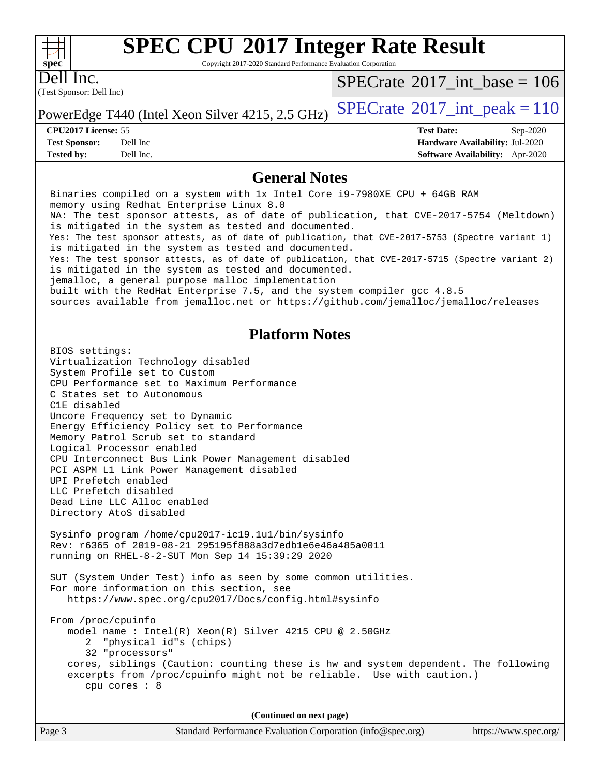#### $+\!\!+\!\!$ **[spec](http://www.spec.org/)**

# **[SPEC CPU](http://www.spec.org/auto/cpu2017/Docs/result-fields.html#SPECCPU2017IntegerRateResult)[2017 Integer Rate Result](http://www.spec.org/auto/cpu2017/Docs/result-fields.html#SPECCPU2017IntegerRateResult)**

Copyright 2017-2020 Standard Performance Evaluation Corporation

(Test Sponsor: Dell Inc) Dell Inc.

 $SPECrate$ <sup>®</sup>[2017\\_int\\_base =](http://www.spec.org/auto/cpu2017/Docs/result-fields.html#SPECrate2017intbase) 106

PowerEdge T440 (Intel Xeon Silver 4215, 2.5 GHz)  $\text{SPECrate}^{\circ}2017\_int\_peak = 110$  $\text{SPECrate}^{\circ}2017\_int\_peak = 110$  $\text{SPECrate}^{\circ}2017\_int\_peak = 110$ 

**[Tested by:](http://www.spec.org/auto/cpu2017/Docs/result-fields.html#Testedby)** Dell Inc. **[Software Availability:](http://www.spec.org/auto/cpu2017/Docs/result-fields.html#SoftwareAvailability)** Apr-2020

**[CPU2017 License:](http://www.spec.org/auto/cpu2017/Docs/result-fields.html#CPU2017License)** 55 **[Test Date:](http://www.spec.org/auto/cpu2017/Docs/result-fields.html#TestDate)** Sep-2020 **[Test Sponsor:](http://www.spec.org/auto/cpu2017/Docs/result-fields.html#TestSponsor)** Dell Inc **[Hardware Availability:](http://www.spec.org/auto/cpu2017/Docs/result-fields.html#HardwareAvailability)** Jul-2020

#### **[General Notes](http://www.spec.org/auto/cpu2017/Docs/result-fields.html#GeneralNotes)**

 Binaries compiled on a system with 1x Intel Core i9-7980XE CPU + 64GB RAM memory using Redhat Enterprise Linux 8.0 NA: The test sponsor attests, as of date of publication, that CVE-2017-5754 (Meltdown) is mitigated in the system as tested and documented. Yes: The test sponsor attests, as of date of publication, that CVE-2017-5753 (Spectre variant 1) is mitigated in the system as tested and documented. Yes: The test sponsor attests, as of date of publication, that CVE-2017-5715 (Spectre variant 2) is mitigated in the system as tested and documented. jemalloc, a general purpose malloc implementation built with the RedHat Enterprise 7.5, and the system compiler gcc 4.8.5 sources available from jemalloc.net or<https://github.com/jemalloc/jemalloc/releases> **[Platform Notes](http://www.spec.org/auto/cpu2017/Docs/result-fields.html#PlatformNotes)** BIOS settings: Virtualization Technology disabled System Profile set to Custom CPU Performance set to Maximum Performance C States set to Autonomous C1E disabled Uncore Frequency set to Dynamic Energy Efficiency Policy set to Performance Memory Patrol Scrub set to standard Logical Processor enabled CPU Interconnect Bus Link Power Management disabled PCI ASPM L1 Link Power Management disabled UPI Prefetch enabled LLC Prefetch disabled Dead Line LLC Alloc enabled Directory AtoS disabled Sysinfo program /home/cpu2017-ic19.1u1/bin/sysinfo Rev: r6365 of 2019-08-21 295195f888a3d7edb1e6e46a485a0011 running on RHEL-8-2-SUT Mon Sep 14 15:39:29 2020 SUT (System Under Test) info as seen by some common utilities. For more information on this section, see <https://www.spec.org/cpu2017/Docs/config.html#sysinfo> From /proc/cpuinfo model name : Intel(R) Xeon(R) Silver 4215 CPU @ 2.50GHz 2 "physical id"s (chips) 32 "processors" cores, siblings (Caution: counting these is hw and system dependent. The following excerpts from /proc/cpuinfo might not be reliable. Use with caution.) cpu cores : 8 **(Continued on next page)**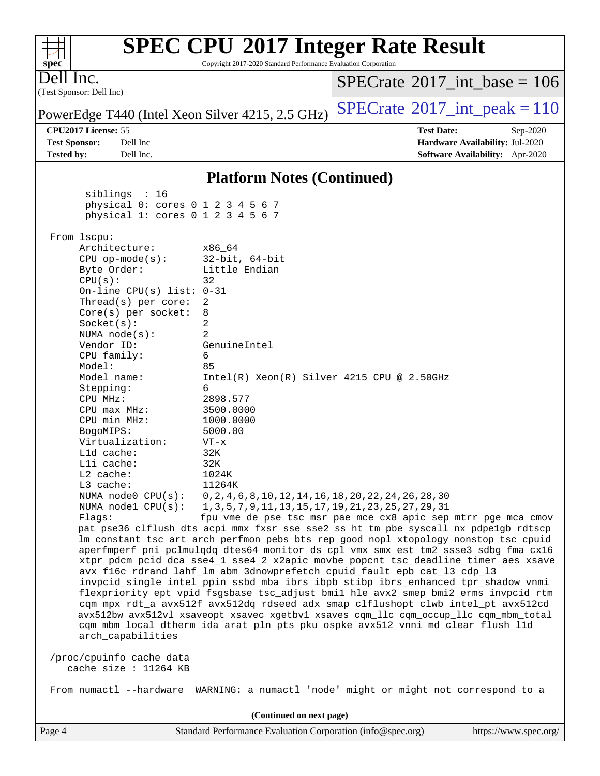| <b>SPEC CPU®2017 Integer Rate Result</b><br>Copyright 2017-2020 Standard Performance Evaluation Corporation<br>$spec^*$                                                                                                                                          |                                                                                                                            |
|------------------------------------------------------------------------------------------------------------------------------------------------------------------------------------------------------------------------------------------------------------------|----------------------------------------------------------------------------------------------------------------------------|
| Dell Inc.<br>(Test Sponsor: Dell Inc)                                                                                                                                                                                                                            | $SPECrate^{\circ}2017\_int\_base = 106$                                                                                    |
| PowerEdge T440 (Intel Xeon Silver 4215, 2.5 GHz)                                                                                                                                                                                                                 | $SPECrate^{\circ}2017\_int\_peak = 110$                                                                                    |
| CPU2017 License: 55                                                                                                                                                                                                                                              | <b>Test Date:</b><br>Sep-2020                                                                                              |
| Dell Inc<br><b>Test Sponsor:</b><br><b>Tested by:</b><br>Dell Inc.                                                                                                                                                                                               | Hardware Availability: Jul-2020                                                                                            |
|                                                                                                                                                                                                                                                                  | Software Availability: Apr-2020                                                                                            |
| <b>Platform Notes (Continued)</b>                                                                                                                                                                                                                                |                                                                                                                            |
| sibling: 16<br>physical 0: cores 0 1 2 3 4 5 6 7<br>physical 1: cores 0 1 2 3 4 5 6 7                                                                                                                                                                            |                                                                                                                            |
| From lscpu:                                                                                                                                                                                                                                                      |                                                                                                                            |
| Architecture:<br>x86 64<br>$CPU$ op-mode( $s$ ):<br>$32$ -bit, $64$ -bit                                                                                                                                                                                         |                                                                                                                            |
| Little Endian<br>Byte Order:                                                                                                                                                                                                                                     |                                                                                                                            |
| CPU(s):<br>32                                                                                                                                                                                                                                                    |                                                                                                                            |
| On-line CPU(s) list: $0-31$<br>2<br>Thread( $s$ ) per core:                                                                                                                                                                                                      |                                                                                                                            |
| $Core(s)$ per socket:<br>8                                                                                                                                                                                                                                       |                                                                                                                            |
| Socket(s):<br>2<br>2                                                                                                                                                                                                                                             |                                                                                                                            |
| NUMA $node(s):$<br>Vendor ID:<br>GenuineIntel                                                                                                                                                                                                                    |                                                                                                                            |
| CPU family:<br>6                                                                                                                                                                                                                                                 |                                                                                                                            |
| Model:<br>85                                                                                                                                                                                                                                                     |                                                                                                                            |
| Model name:<br>6<br>Stepping:                                                                                                                                                                                                                                    | $Intel(R) Xeon(R) Silver 4215 CPU @ 2.50GHz$                                                                               |
| 2898.577<br>CPU MHz:                                                                                                                                                                                                                                             |                                                                                                                            |
| 3500.0000<br>$CPU$ max $MHz$ :                                                                                                                                                                                                                                   |                                                                                                                            |
| CPU min MHz:<br>1000.0000<br>5000.00<br>BogoMIPS:                                                                                                                                                                                                                |                                                                                                                            |
| Virtualization:<br>$VT - x$                                                                                                                                                                                                                                      |                                                                                                                            |
| L1d cache:<br>32K                                                                                                                                                                                                                                                |                                                                                                                            |
| Lli cache:<br>32K<br>1024K<br>L2 cache:                                                                                                                                                                                                                          |                                                                                                                            |
| 11264K<br>L3 cache:                                                                                                                                                                                                                                              |                                                                                                                            |
| NUMA $node0$ $CPU(s)$ :                                                                                                                                                                                                                                          | 0, 2, 4, 6, 8, 10, 12, 14, 16, 18, 20, 22, 24, 26, 28, 30                                                                  |
| NUMA nodel CPU(s):<br>Flaqs:                                                                                                                                                                                                                                     | 1, 3, 5, 7, 9, 11, 13, 15, 17, 19, 21, 23, 25, 27, 29, 31<br>fpu vme de pse tsc msr pae mce cx8 apic sep mtrr pge mca cmov |
| pat pse36 clflush dts acpi mmx fxsr sse sse2 ss ht tm pbe syscall nx pdpelgb rdtscp<br>lm constant_tsc art arch_perfmon pebs bts rep_good nopl xtopology nonstop_tsc cpuid<br>aperfmperf pni pclmulqdq dtes64 monitor ds_cpl vmx smx est tm2 ssse3 sdbg fma cx16 |                                                                                                                            |
| xtpr pdcm pcid dca sse4_1 sse4_2 x2apic movbe popcnt tsc_deadline_timer aes xsave<br>avx f16c rdrand lahf_lm abm 3dnowprefetch cpuid_fault epb cat_13 cdp_13<br>invpcid_single intel_ppin ssbd mba ibrs ibpb stibp ibrs_enhanced tpr_shadow vnmi                 |                                                                                                                            |
| flexpriority ept vpid fsgsbase tsc_adjust bmil hle avx2 smep bmi2 erms invpcid rtm<br>cqm mpx rdt_a avx512f avx512dq rdseed adx smap clflushopt clwb intel_pt avx512cd<br>avx512bw avx512vl xsaveopt xsavec xgetbvl xsaves cqm_llc cqm_occup_llc cqm_mbm_total   |                                                                                                                            |
| cqm_mbm_local dtherm ida arat pln pts pku ospke avx512_vnni md_clear flush_l1d<br>arch_capabilities                                                                                                                                                              |                                                                                                                            |
| /proc/cpuinfo cache data<br>cache size : $11264$ KB                                                                                                                                                                                                              |                                                                                                                            |
| From numactl --hardware WARNING: a numactl 'node' might or might not correspond to a                                                                                                                                                                             |                                                                                                                            |
| (Continued on next page)                                                                                                                                                                                                                                         |                                                                                                                            |

Page 4 Standard Performance Evaluation Corporation [\(info@spec.org\)](mailto:info@spec.org) <https://www.spec.org/>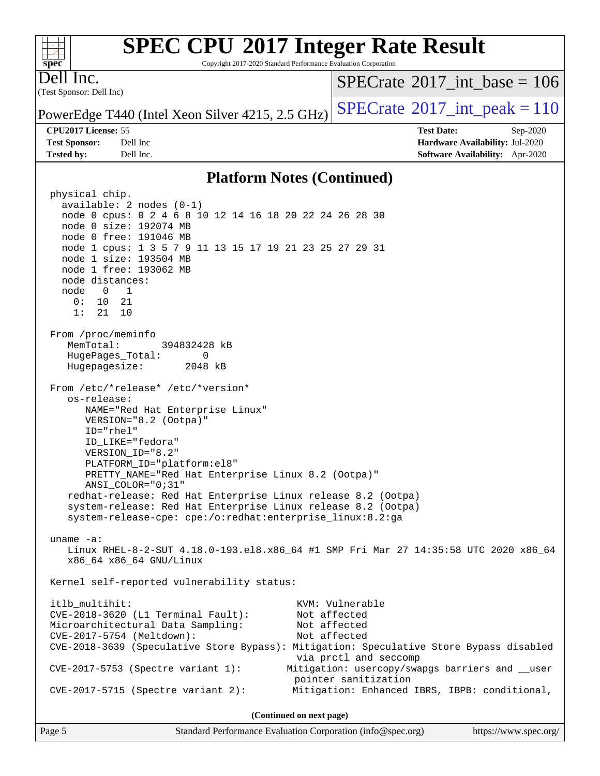# **[SPEC CPU](http://www.spec.org/auto/cpu2017/Docs/result-fields.html#SPECCPU2017IntegerRateResult)[2017 Integer Rate Result](http://www.spec.org/auto/cpu2017/Docs/result-fields.html#SPECCPU2017IntegerRateResult)**

Copyright 2017-2020 Standard Performance Evaluation Corporation

(Test Sponsor: Dell Inc) Dell Inc.

**[spec](http://www.spec.org/)**

 $+\ +$ 

 $SPECrate$ <sup>®</sup>[2017\\_int\\_base =](http://www.spec.org/auto/cpu2017/Docs/result-fields.html#SPECrate2017intbase) 106

PowerEdge T440 (Intel Xeon Silver 4215, 2.5 GHz)  $\text{SPECrate}^{\circ}2017\_int\_peak = 110$  $\text{SPECrate}^{\circ}2017\_int\_peak = 110$  $\text{SPECrate}^{\circ}2017\_int\_peak = 110$ 

**[CPU2017 License:](http://www.spec.org/auto/cpu2017/Docs/result-fields.html#CPU2017License)** 55 **[Test Date:](http://www.spec.org/auto/cpu2017/Docs/result-fields.html#TestDate)** Sep-2020 **[Test Sponsor:](http://www.spec.org/auto/cpu2017/Docs/result-fields.html#TestSponsor)** Dell Inc **[Hardware Availability:](http://www.spec.org/auto/cpu2017/Docs/result-fields.html#HardwareAvailability)** Jul-2020 **[Tested by:](http://www.spec.org/auto/cpu2017/Docs/result-fields.html#Testedby)** Dell Inc. **[Software Availability:](http://www.spec.org/auto/cpu2017/Docs/result-fields.html#SoftwareAvailability)** Apr-2020

#### **[Platform Notes \(Continued\)](http://www.spec.org/auto/cpu2017/Docs/result-fields.html#PlatformNotes)**

 physical chip. available: 2 nodes (0-1) node 0 cpus: 0 2 4 6 8 10 12 14 16 18 20 22 24 26 28 30 node 0 size: 192074 MB node 0 free: 191046 MB node 1 cpus: 1 3 5 7 9 11 13 15 17 19 21 23 25 27 29 31 node 1 size: 193504 MB node 1 free: 193062 MB node distances: node 0 1 0: 10 21 1: 21 10 From /proc/meminfo MemTotal: 394832428 kB HugePages\_Total: 0 Hugepagesize: 2048 kB From /etc/\*release\* /etc/\*version\* os-release: NAME="Red Hat Enterprise Linux" VERSION="8.2 (Ootpa)" ID="rhel" ID\_LIKE="fedora" VERSION\_ID="8.2" PLATFORM\_ID="platform:el8" PRETTY\_NAME="Red Hat Enterprise Linux 8.2 (Ootpa)" ANSI\_COLOR="0;31" redhat-release: Red Hat Enterprise Linux release 8.2 (Ootpa) system-release: Red Hat Enterprise Linux release 8.2 (Ootpa) system-release-cpe: cpe:/o:redhat:enterprise\_linux:8.2:ga uname -a: Linux RHEL-8-2-SUT 4.18.0-193.el8.x86\_64 #1 SMP Fri Mar 27 14:35:58 UTC 2020 x86\_64 x86\_64 x86\_64 GNU/Linux Kernel self-reported vulnerability status: itlb\_multihit: KVM: Vulnerable CVE-2018-3620 (L1 Terminal Fault): Not affected Microarchitectural Data Sampling: Not affected CVE-2017-5754 (Meltdown): Not affected CVE-2018-3639 (Speculative Store Bypass): Mitigation: Speculative Store Bypass disabled via prctl and seccomp CVE-2017-5753 (Spectre variant 1): Mitigation: usercopy/swapgs barriers and \_\_user pointer sanitization CVE-2017-5715 (Spectre variant 2): Mitigation: Enhanced IBRS, IBPB: conditional, **(Continued on next page)**

Page 5 Standard Performance Evaluation Corporation [\(info@spec.org\)](mailto:info@spec.org) <https://www.spec.org/>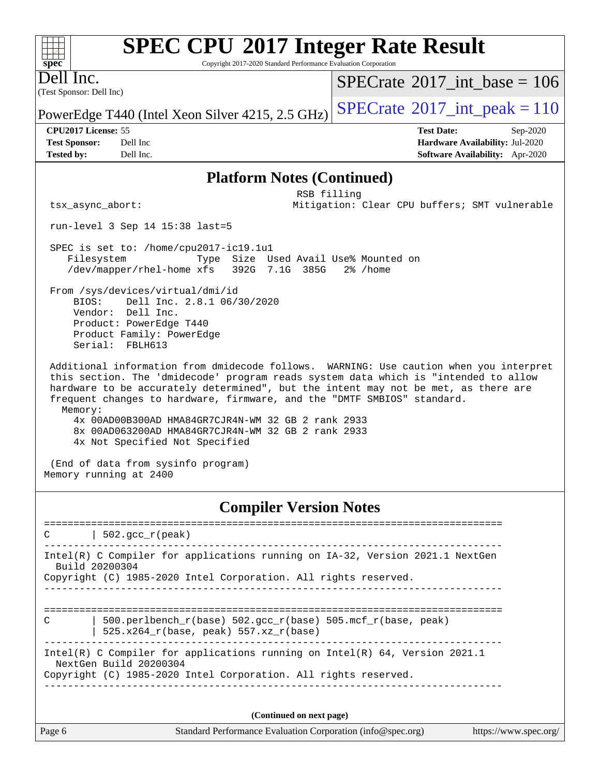#### $+\,$ H **[spec](http://www.spec.org/)**

# **[SPEC CPU](http://www.spec.org/auto/cpu2017/Docs/result-fields.html#SPECCPU2017IntegerRateResult)[2017 Integer Rate Result](http://www.spec.org/auto/cpu2017/Docs/result-fields.html#SPECCPU2017IntegerRateResult)**

Copyright 2017-2020 Standard Performance Evaluation Corporation

(Test Sponsor: Dell Inc) Dell Inc.

 $SPECrate$ <sup>®</sup>[2017\\_int\\_base =](http://www.spec.org/auto/cpu2017/Docs/result-fields.html#SPECrate2017intbase) 106

PowerEdge T440 (Intel Xeon Silver 4215, 2.5 GHz)  $\left|$  [SPECrate](http://www.spec.org/auto/cpu2017/Docs/result-fields.html#SPECrate2017intpeak)<sup>®</sup>[2017\\_int\\_peak = 1](http://www.spec.org/auto/cpu2017/Docs/result-fields.html#SPECrate2017intpeak)10

**[Tested by:](http://www.spec.org/auto/cpu2017/Docs/result-fields.html#Testedby)** Dell Inc. **[Software Availability:](http://www.spec.org/auto/cpu2017/Docs/result-fields.html#SoftwareAvailability)** Apr-2020

**[CPU2017 License:](http://www.spec.org/auto/cpu2017/Docs/result-fields.html#CPU2017License)** 55 **[Test Date:](http://www.spec.org/auto/cpu2017/Docs/result-fields.html#TestDate)** Sep-2020 **[Test Sponsor:](http://www.spec.org/auto/cpu2017/Docs/result-fields.html#TestSponsor)** Dell Inc **[Hardware Availability:](http://www.spec.org/auto/cpu2017/Docs/result-fields.html#HardwareAvailability)** Jul-2020

#### **[Platform Notes \(Continued\)](http://www.spec.org/auto/cpu2017/Docs/result-fields.html#PlatformNotes)**

 RSB filling tsx\_async\_abort: Mitigation: Clear CPU buffers; SMT vulnerable

run-level 3 Sep 14 15:38 last=5

 SPEC is set to: /home/cpu2017-ic19.1u1 Filesystem Type Size Used Avail Use% Mounted on /dev/mapper/rhel-home xfs 392G 7.1G 385G 2% /home

 From /sys/devices/virtual/dmi/id BIOS: Dell Inc. 2.8.1 06/30/2020 Vendor: Dell Inc. Product: PowerEdge T440 Product Family: PowerEdge Serial: FBLH613

 Additional information from dmidecode follows. WARNING: Use caution when you interpret this section. The 'dmidecode' program reads system data which is "intended to allow hardware to be accurately determined", but the intent may not be met, as there are frequent changes to hardware, firmware, and the "DMTF SMBIOS" standard. Memory: 4x 00AD00B300AD HMA84GR7CJR4N-WM 32 GB 2 rank 2933 8x 00AD063200AD HMA84GR7CJR4N-WM 32 GB 2 rank 2933

4x Not Specified Not Specified

 (End of data from sysinfo program) Memory running at 2400

## **[Compiler Version Notes](http://www.spec.org/auto/cpu2017/Docs/result-fields.html#CompilerVersionNotes)**

==============================================================================  $C \qquad | \; 502.\text{gcc\_r}(\text{peak})$ ------------------------------------------------------------------------------ Intel(R) C Compiler for applications running on IA-32, Version 2021.1 NextGen Build 20200304 Copyright (C) 1985-2020 Intel Corporation. All rights reserved. ------------------------------------------------------------------------------ ============================================================================== C | 500.perlbench\_r(base) 502.gcc\_r(base) 505.mcf\_r(base, peak) | 525.x264\_r(base, peak) 557.xz\_r(base) ------------------------------------------------------------------------------ Intel(R) C Compiler for applications running on Intel(R) 64, Version 2021.1 NextGen Build 20200304 Copyright (C) 1985-2020 Intel Corporation. All rights reserved. ------------------------------------------------------------------------------ **(Continued on next page)**

Page 6 Standard Performance Evaluation Corporation [\(info@spec.org\)](mailto:info@spec.org) <https://www.spec.org/>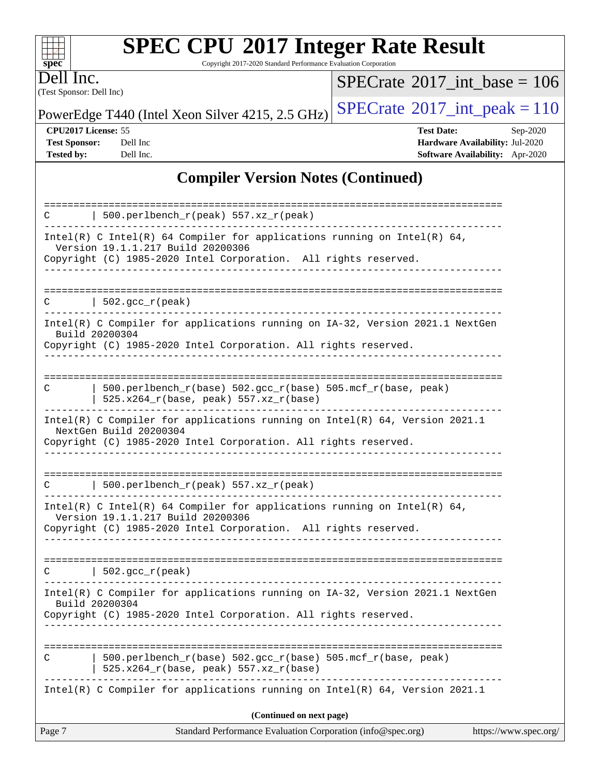| v. | ٠, | t. |  |
|----|----|----|--|

# **[SPEC CPU](http://www.spec.org/auto/cpu2017/Docs/result-fields.html#SPECCPU2017IntegerRateResult)[2017 Integer Rate Result](http://www.spec.org/auto/cpu2017/Docs/result-fields.html#SPECCPU2017IntegerRateResult)**

Copyright 2017-2020 Standard Performance Evaluation Corporation

(Test Sponsor: Dell Inc) Dell Inc.

 $SPECrate$ <sup>®</sup>[2017\\_int\\_base =](http://www.spec.org/auto/cpu2017/Docs/result-fields.html#SPECrate2017intbase) 106

PowerEdge T440 (Intel Xeon Silver 4215, 2.5 GHz)  $\text{SPECrate}^{\circ}2017\_int\_peak = 110$  $\text{SPECrate}^{\circ}2017\_int\_peak = 110$  $\text{SPECrate}^{\circ}2017\_int\_peak = 110$ 

**[Test Sponsor:](http://www.spec.org/auto/cpu2017/Docs/result-fields.html#TestSponsor)** Dell Inc **[Hardware Availability:](http://www.spec.org/auto/cpu2017/Docs/result-fields.html#HardwareAvailability)** Jul-2020 **[Tested by:](http://www.spec.org/auto/cpu2017/Docs/result-fields.html#Testedby)** Dell Inc. **[Software Availability:](http://www.spec.org/auto/cpu2017/Docs/result-fields.html#SoftwareAvailability)** Apr-2020

**[CPU2017 License:](http://www.spec.org/auto/cpu2017/Docs/result-fields.html#CPU2017License)** 55 **[Test Date:](http://www.spec.org/auto/cpu2017/Docs/result-fields.html#TestDate)** Sep-2020

**[Compiler Version Notes \(Continued\)](http://www.spec.org/auto/cpu2017/Docs/result-fields.html#CompilerVersionNotes)**

| Standard Performance Evaluation Corporation (info@spec.org)<br>https://www.spec.org/<br>Page 7                                                                                   |  |
|----------------------------------------------------------------------------------------------------------------------------------------------------------------------------------|--|
| (Continued on next page)                                                                                                                                                         |  |
| Intel(R) C Compiler for applications running on Intel(R) 64, Version 2021.1                                                                                                      |  |
| 500.perlbench_r(base) 502.gcc_r(base) 505.mcf_r(base, peak)<br>C<br>525.x264_r(base, peak) 557.xz_r(base)                                                                        |  |
| Intel(R) C Compiler for applications running on IA-32, Version 2021.1 NextGen<br>Build 20200304<br>Copyright (C) 1985-2020 Intel Corporation. All rights reserved.               |  |
| $\vert$ 502.gcc_r(peak)<br>C.                                                                                                                                                    |  |
| Intel(R) C Intel(R) 64 Compiler for applications running on Intel(R) 64,<br>Version 19.1.1.217 Build 20200306<br>Copyright (C) 1985-2020 Intel Corporation. All rights reserved. |  |
| 500.perlbench_r(peak) 557.xz_r(peak)<br>C                                                                                                                                        |  |
|                                                                                                                                                                                  |  |
| Intel(R) C Compiler for applications running on Intel(R) $64$ , Version 2021.1<br>NextGen Build 20200304<br>Copyright (C) 1985-2020 Intel Corporation. All rights reserved.      |  |
| $500. perlbench_r(base) 502. gcc_r(base) 505.mcf_r(base, peak)$<br>C<br>$525.x264_r(base, peak) 557.xz_r(base)$                                                                  |  |
| Build 20200304<br>Copyright (C) 1985-2020 Intel Corporation. All rights reserved.                                                                                                |  |
| $  502.\text{sec}_r(\text{peak})$<br>C<br>Intel(R) C Compiler for applications running on IA-32, Version 2021.1 NextGen                                                          |  |
|                                                                                                                                                                                  |  |
| Intel(R) C Intel(R) 64 Compiler for applications running on Intel(R) 64,<br>Version 19.1.1.217 Build 20200306<br>Copyright (C) 1985-2020 Intel Corporation. All rights reserved. |  |
| 500.perlbench_r(peak) 557.xz_r(peak)                                                                                                                                             |  |
|                                                                                                                                                                                  |  |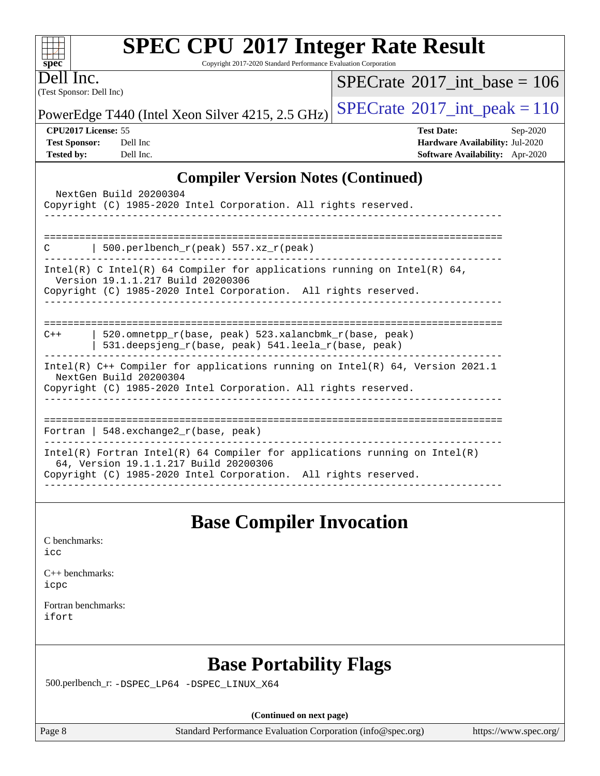Copyright 2017-2020 Standard Performance Evaluation Corporation

(Test Sponsor: Dell Inc) Dell Inc.

**[spec](http://www.spec.org/)**

 $+++$ 

 $SPECTate$ <sup>®</sup>[2017\\_int\\_base =](http://www.spec.org/auto/cpu2017/Docs/result-fields.html#SPECrate2017intbase) 106

PowerEdge T440 (Intel Xeon Silver 4215, 2.5 GHz)  $\text{SPECrate}^{\textcirc}2017\_int\_peak = 110$  $\text{SPECrate}^{\textcirc}2017\_int\_peak = 110$  $\text{SPECrate}^{\textcirc}2017\_int\_peak = 110$ 

**[CPU2017 License:](http://www.spec.org/auto/cpu2017/Docs/result-fields.html#CPU2017License)** 55 **[Test Date:](http://www.spec.org/auto/cpu2017/Docs/result-fields.html#TestDate)** Sep-2020 **[Test Sponsor:](http://www.spec.org/auto/cpu2017/Docs/result-fields.html#TestSponsor)** Dell Inc **[Hardware Availability:](http://www.spec.org/auto/cpu2017/Docs/result-fields.html#HardwareAvailability)** Jul-2020 **[Tested by:](http://www.spec.org/auto/cpu2017/Docs/result-fields.html#Testedby)** Dell Inc. **[Software Availability:](http://www.spec.org/auto/cpu2017/Docs/result-fields.html#SoftwareAvailability)** Apr-2020

## **[Compiler Version Notes \(Continued\)](http://www.spec.org/auto/cpu2017/Docs/result-fields.html#CompilerVersionNotes)**

| NextGen Build 20200304<br>Copyright (C) 1985-2020 Intel Corporation. All rights reserved.                                                                                                                                  |
|----------------------------------------------------------------------------------------------------------------------------------------------------------------------------------------------------------------------------|
| 500.perlbench $r(\text{peak})$ 557.xz $r(\text{peak})$<br>C                                                                                                                                                                |
| Intel(R) C Intel(R) 64 Compiler for applications running on Intel(R) 64,<br>Version 19.1.1.217 Build 20200306<br>Copyright (C) 1985-2020 Intel Corporation. All rights reserved.<br>-------------------------------------- |
| 520.omnetpp r(base, peak) 523.xalancbmk r(base, peak)<br>$C++$<br>531.deepsjeng $r(base, peak)$ 541.leela $r(base, peak)$                                                                                                  |
| Intel(R) $C++$ Compiler for applications running on Intel(R) 64, Version 2021.1<br>NextGen Build 20200304<br>Copyright (C) 1985-2020 Intel Corporation. All rights reserved.                                               |
| Fortran   548.exchange2 $r(base, peak)$                                                                                                                                                                                    |
| Intel(R) Fortran Intel(R) 64 Compiler for applications running on Intel(R)<br>64, Version 19.1.1.217 Build 20200306<br>Copyright (C) 1985-2020 Intel Corporation. All rights reserved.                                     |
|                                                                                                                                                                                                                            |

## **[Base Compiler Invocation](http://www.spec.org/auto/cpu2017/Docs/result-fields.html#BaseCompilerInvocation)**

[C benchmarks](http://www.spec.org/auto/cpu2017/Docs/result-fields.html#Cbenchmarks):

[icc](http://www.spec.org/cpu2017/results/res2020q4/cpu2017-20200928-24061.flags.html#user_CCbase_intel_icc_66fc1ee009f7361af1fbd72ca7dcefbb700085f36577c54f309893dd4ec40d12360134090235512931783d35fd58c0460139e722d5067c5574d8eaf2b3e37e92)

[C++ benchmarks:](http://www.spec.org/auto/cpu2017/Docs/result-fields.html#CXXbenchmarks) [icpc](http://www.spec.org/cpu2017/results/res2020q4/cpu2017-20200928-24061.flags.html#user_CXXbase_intel_icpc_c510b6838c7f56d33e37e94d029a35b4a7bccf4766a728ee175e80a419847e808290a9b78be685c44ab727ea267ec2f070ec5dc83b407c0218cded6866a35d07)

[Fortran benchmarks](http://www.spec.org/auto/cpu2017/Docs/result-fields.html#Fortranbenchmarks): [ifort](http://www.spec.org/cpu2017/results/res2020q4/cpu2017-20200928-24061.flags.html#user_FCbase_intel_ifort_8111460550e3ca792625aed983ce982f94888b8b503583aa7ba2b8303487b4d8a21a13e7191a45c5fd58ff318f48f9492884d4413fa793fd88dd292cad7027ca)

# **[Base Portability Flags](http://www.spec.org/auto/cpu2017/Docs/result-fields.html#BasePortabilityFlags)**

500.perlbench\_r: [-DSPEC\\_LP64](http://www.spec.org/cpu2017/results/res2020q4/cpu2017-20200928-24061.flags.html#b500.perlbench_r_basePORTABILITY_DSPEC_LP64) [-DSPEC\\_LINUX\\_X64](http://www.spec.org/cpu2017/results/res2020q4/cpu2017-20200928-24061.flags.html#b500.perlbench_r_baseCPORTABILITY_DSPEC_LINUX_X64)

**(Continued on next page)**

Page 8 Standard Performance Evaluation Corporation [\(info@spec.org\)](mailto:info@spec.org) <https://www.spec.org/>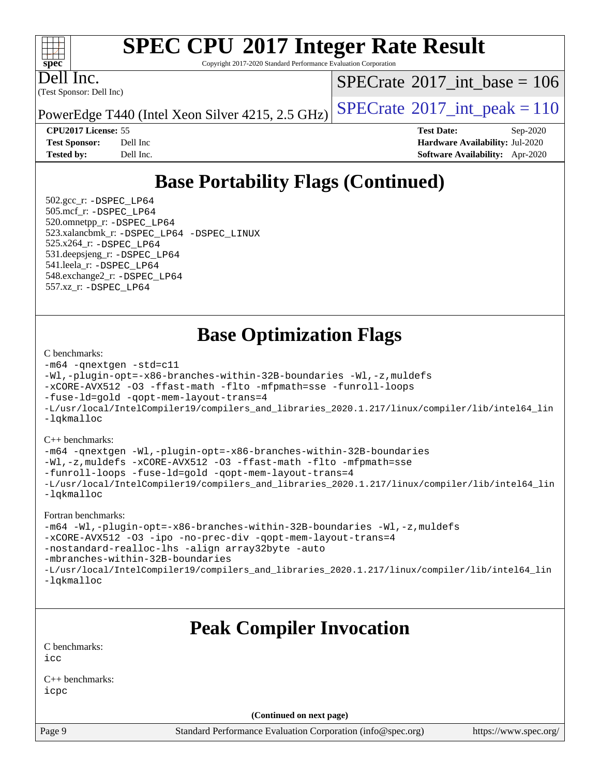### $\pm\pm\tau$ **[spec](http://www.spec.org/)**

# **[SPEC CPU](http://www.spec.org/auto/cpu2017/Docs/result-fields.html#SPECCPU2017IntegerRateResult)[2017 Integer Rate Result](http://www.spec.org/auto/cpu2017/Docs/result-fields.html#SPECCPU2017IntegerRateResult)**

Copyright 2017-2020 Standard Performance Evaluation Corporation

(Test Sponsor: Dell Inc) Dell Inc.

 $SPECTate@2017_int\_base = 106$ 

PowerEdge T440 (Intel Xeon Silver 4215, 2.5 GHz)  $\text{SPECrate}^{\circ}2017\_int\_peak = 110$  $\text{SPECrate}^{\circ}2017\_int\_peak = 110$  $\text{SPECrate}^{\circ}2017\_int\_peak = 110$ 

**[CPU2017 License:](http://www.spec.org/auto/cpu2017/Docs/result-fields.html#CPU2017License)** 55 **[Test Date:](http://www.spec.org/auto/cpu2017/Docs/result-fields.html#TestDate)** Sep-2020 **[Test Sponsor:](http://www.spec.org/auto/cpu2017/Docs/result-fields.html#TestSponsor)** Dell Inc **[Hardware Availability:](http://www.spec.org/auto/cpu2017/Docs/result-fields.html#HardwareAvailability)** Jul-2020 **[Tested by:](http://www.spec.org/auto/cpu2017/Docs/result-fields.html#Testedby)** Dell Inc. **[Software Availability:](http://www.spec.org/auto/cpu2017/Docs/result-fields.html#SoftwareAvailability)** Apr-2020

# **[Base Portability Flags \(Continued\)](http://www.spec.org/auto/cpu2017/Docs/result-fields.html#BasePortabilityFlags)**

 502.gcc\_r: [-DSPEC\\_LP64](http://www.spec.org/cpu2017/results/res2020q4/cpu2017-20200928-24061.flags.html#suite_basePORTABILITY502_gcc_r_DSPEC_LP64) 505.mcf\_r: [-DSPEC\\_LP64](http://www.spec.org/cpu2017/results/res2020q4/cpu2017-20200928-24061.flags.html#suite_basePORTABILITY505_mcf_r_DSPEC_LP64) 520.omnetpp\_r: [-DSPEC\\_LP64](http://www.spec.org/cpu2017/results/res2020q4/cpu2017-20200928-24061.flags.html#suite_basePORTABILITY520_omnetpp_r_DSPEC_LP64) 523.xalancbmk\_r: [-DSPEC\\_LP64](http://www.spec.org/cpu2017/results/res2020q4/cpu2017-20200928-24061.flags.html#suite_basePORTABILITY523_xalancbmk_r_DSPEC_LP64) [-DSPEC\\_LINUX](http://www.spec.org/cpu2017/results/res2020q4/cpu2017-20200928-24061.flags.html#b523.xalancbmk_r_baseCXXPORTABILITY_DSPEC_LINUX) 525.x264\_r: [-DSPEC\\_LP64](http://www.spec.org/cpu2017/results/res2020q4/cpu2017-20200928-24061.flags.html#suite_basePORTABILITY525_x264_r_DSPEC_LP64) 531.deepsjeng\_r: [-DSPEC\\_LP64](http://www.spec.org/cpu2017/results/res2020q4/cpu2017-20200928-24061.flags.html#suite_basePORTABILITY531_deepsjeng_r_DSPEC_LP64) 541.leela\_r: [-DSPEC\\_LP64](http://www.spec.org/cpu2017/results/res2020q4/cpu2017-20200928-24061.flags.html#suite_basePORTABILITY541_leela_r_DSPEC_LP64) 548.exchange2\_r: [-DSPEC\\_LP64](http://www.spec.org/cpu2017/results/res2020q4/cpu2017-20200928-24061.flags.html#suite_basePORTABILITY548_exchange2_r_DSPEC_LP64) 557.xz\_r: [-DSPEC\\_LP64](http://www.spec.org/cpu2017/results/res2020q4/cpu2017-20200928-24061.flags.html#suite_basePORTABILITY557_xz_r_DSPEC_LP64)

# **[Base Optimization Flags](http://www.spec.org/auto/cpu2017/Docs/result-fields.html#BaseOptimizationFlags)**

#### [C benchmarks](http://www.spec.org/auto/cpu2017/Docs/result-fields.html#Cbenchmarks):

```
-m64 -qnextgen -std=c11
-Wl,-plugin-opt=-x86-branches-within-32B-boundaries -Wl,-z,muldefs
-xCORE-AVX512 -O3 -ffast-math -flto -mfpmath=sse -funroll-loops
-fuse-ld=gold -qopt-mem-layout-trans=4
-L/usr/local/IntelCompiler19/compilers_and_libraries_2020.1.217/linux/compiler/lib/intel64_lin
-lqkmalloc
```
#### [C++ benchmarks](http://www.spec.org/auto/cpu2017/Docs/result-fields.html#CXXbenchmarks):

```
-m64 -qnextgen -Wl,-plugin-opt=-x86-branches-within-32B-boundaries
-Wl,-z,muldefs -xCORE-AVX512 -O3 -ffast-math -flto -mfpmath=sse
-funroll-loops -fuse-ld=gold -qopt-mem-layout-trans=4
-L/usr/local/IntelCompiler19/compilers_and_libraries_2020.1.217/linux/compiler/lib/intel64_lin
-lqkmalloc
```
#### [Fortran benchmarks:](http://www.spec.org/auto/cpu2017/Docs/result-fields.html#Fortranbenchmarks)

```
-m64 -Wl,-plugin-opt=-x86-branches-within-32B-boundaries -Wl,-z,muldefs
-xCORE-AVX512 -O3 -ipo -no-prec-div -qopt-mem-layout-trans=4
-nostandard-realloc-lhs -align array32byte -auto
-mbranches-within-32B-boundaries
-L/usr/local/IntelCompiler19/compilers_and_libraries_2020.1.217/linux/compiler/lib/intel64_lin
-lqkmalloc
```
## **[Peak Compiler Invocation](http://www.spec.org/auto/cpu2017/Docs/result-fields.html#PeakCompilerInvocation)**

[C benchmarks](http://www.spec.org/auto/cpu2017/Docs/result-fields.html#Cbenchmarks):  $i$ cc

[C++ benchmarks:](http://www.spec.org/auto/cpu2017/Docs/result-fields.html#CXXbenchmarks) [icpc](http://www.spec.org/cpu2017/results/res2020q4/cpu2017-20200928-24061.flags.html#user_CXXpeak_intel_icpc_c510b6838c7f56d33e37e94d029a35b4a7bccf4766a728ee175e80a419847e808290a9b78be685c44ab727ea267ec2f070ec5dc83b407c0218cded6866a35d07)

**(Continued on next page)**

Page 9 Standard Performance Evaluation Corporation [\(info@spec.org\)](mailto:info@spec.org) <https://www.spec.org/>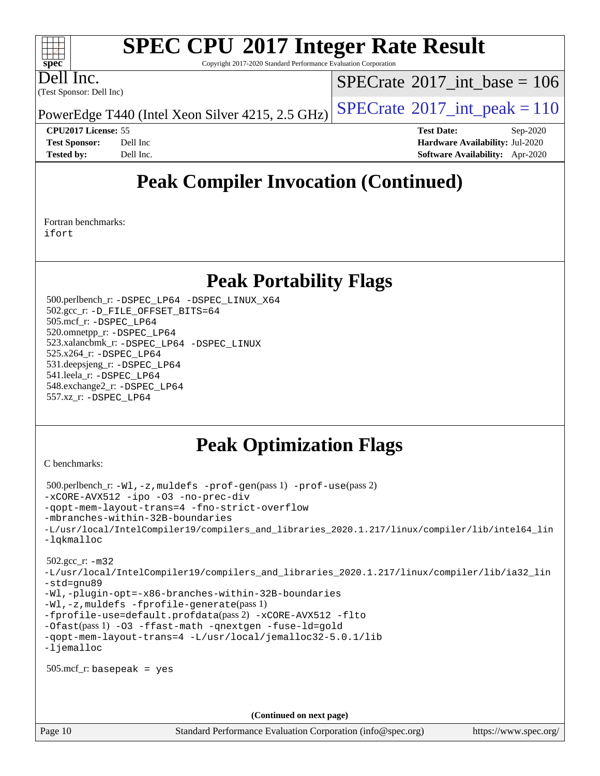# **[SPEC CPU](http://www.spec.org/auto/cpu2017/Docs/result-fields.html#SPECCPU2017IntegerRateResult)[2017 Integer Rate Result](http://www.spec.org/auto/cpu2017/Docs/result-fields.html#SPECCPU2017IntegerRateResult)**

Copyright 2017-2020 Standard Performance Evaluation Corporation

Dell Inc.

**[spec](http://www.spec.org/)**

 $\pm\pm\tau$ 

(Test Sponsor: Dell Inc)

 $SPECrate$ <sup>®</sup>[2017\\_int\\_base =](http://www.spec.org/auto/cpu2017/Docs/result-fields.html#SPECrate2017intbase) 106

PowerEdge T440 (Intel Xeon Silver 4215, 2.5 GHz)  $\text{SPECrate}^{\circ}2017\_int\_peak = 110$  $\text{SPECrate}^{\circ}2017\_int\_peak = 110$  $\text{SPECrate}^{\circ}2017\_int\_peak = 110$ 

**[CPU2017 License:](http://www.spec.org/auto/cpu2017/Docs/result-fields.html#CPU2017License)** 55 **[Test Date:](http://www.spec.org/auto/cpu2017/Docs/result-fields.html#TestDate)** Sep-2020 **[Test Sponsor:](http://www.spec.org/auto/cpu2017/Docs/result-fields.html#TestSponsor)** Dell Inc **[Hardware Availability:](http://www.spec.org/auto/cpu2017/Docs/result-fields.html#HardwareAvailability)** Jul-2020 **[Tested by:](http://www.spec.org/auto/cpu2017/Docs/result-fields.html#Testedby)** Dell Inc. **[Software Availability:](http://www.spec.org/auto/cpu2017/Docs/result-fields.html#SoftwareAvailability)** Apr-2020

# **[Peak Compiler Invocation \(Continued\)](http://www.spec.org/auto/cpu2017/Docs/result-fields.html#PeakCompilerInvocation)**

[Fortran benchmarks](http://www.spec.org/auto/cpu2017/Docs/result-fields.html#Fortranbenchmarks): [ifort](http://www.spec.org/cpu2017/results/res2020q4/cpu2017-20200928-24061.flags.html#user_FCpeak_intel_ifort_8111460550e3ca792625aed983ce982f94888b8b503583aa7ba2b8303487b4d8a21a13e7191a45c5fd58ff318f48f9492884d4413fa793fd88dd292cad7027ca)

# **[Peak Portability Flags](http://www.spec.org/auto/cpu2017/Docs/result-fields.html#PeakPortabilityFlags)**

 500.perlbench\_r: [-DSPEC\\_LP64](http://www.spec.org/cpu2017/results/res2020q4/cpu2017-20200928-24061.flags.html#b500.perlbench_r_peakPORTABILITY_DSPEC_LP64) [-DSPEC\\_LINUX\\_X64](http://www.spec.org/cpu2017/results/res2020q4/cpu2017-20200928-24061.flags.html#b500.perlbench_r_peakCPORTABILITY_DSPEC_LINUX_X64) 502.gcc\_r: [-D\\_FILE\\_OFFSET\\_BITS=64](http://www.spec.org/cpu2017/results/res2020q4/cpu2017-20200928-24061.flags.html#user_peakPORTABILITY502_gcc_r_file_offset_bits_64_5ae949a99b284ddf4e95728d47cb0843d81b2eb0e18bdfe74bbf0f61d0b064f4bda2f10ea5eb90e1dcab0e84dbc592acfc5018bc955c18609f94ddb8d550002c) 505.mcf\_r: [-DSPEC\\_LP64](http://www.spec.org/cpu2017/results/res2020q4/cpu2017-20200928-24061.flags.html#suite_peakPORTABILITY505_mcf_r_DSPEC_LP64) 520.omnetpp\_r: [-DSPEC\\_LP64](http://www.spec.org/cpu2017/results/res2020q4/cpu2017-20200928-24061.flags.html#suite_peakPORTABILITY520_omnetpp_r_DSPEC_LP64) 523.xalancbmk\_r: [-DSPEC\\_LP64](http://www.spec.org/cpu2017/results/res2020q4/cpu2017-20200928-24061.flags.html#suite_peakPORTABILITY523_xalancbmk_r_DSPEC_LP64) [-DSPEC\\_LINUX](http://www.spec.org/cpu2017/results/res2020q4/cpu2017-20200928-24061.flags.html#b523.xalancbmk_r_peakCXXPORTABILITY_DSPEC_LINUX) 525.x264\_r: [-DSPEC\\_LP64](http://www.spec.org/cpu2017/results/res2020q4/cpu2017-20200928-24061.flags.html#suite_peakPORTABILITY525_x264_r_DSPEC_LP64) 531.deepsjeng\_r: [-DSPEC\\_LP64](http://www.spec.org/cpu2017/results/res2020q4/cpu2017-20200928-24061.flags.html#suite_peakPORTABILITY531_deepsjeng_r_DSPEC_LP64) 541.leela\_r: [-DSPEC\\_LP64](http://www.spec.org/cpu2017/results/res2020q4/cpu2017-20200928-24061.flags.html#suite_peakPORTABILITY541_leela_r_DSPEC_LP64) 548.exchange2\_r: [-DSPEC\\_LP64](http://www.spec.org/cpu2017/results/res2020q4/cpu2017-20200928-24061.flags.html#suite_peakPORTABILITY548_exchange2_r_DSPEC_LP64) 557.xz\_r: [-DSPEC\\_LP64](http://www.spec.org/cpu2017/results/res2020q4/cpu2017-20200928-24061.flags.html#suite_peakPORTABILITY557_xz_r_DSPEC_LP64)

# **[Peak Optimization Flags](http://www.spec.org/auto/cpu2017/Docs/result-fields.html#PeakOptimizationFlags)**

[C benchmarks](http://www.spec.org/auto/cpu2017/Docs/result-fields.html#Cbenchmarks):

```
 500.perlbench_r: -Wl,-z,muldefs -prof-gen(pass 1) -prof-use(pass 2)
-xCORE-AVX512 -ipo -O3 -no-prec-div
-qopt-mem-layout-trans=4 -fno-strict-overflow
-mbranches-within-32B-boundaries
-L/usr/local/IntelCompiler19/compilers_and_libraries_2020.1.217/linux/compiler/lib/intel64_lin
-lqkmalloc
 502.gcc_r: -m32
-L/usr/local/IntelCompiler19/compilers_and_libraries_2020.1.217/linux/compiler/lib/ia32_lin
-std=gnu89
-Wl,-plugin-opt=-x86-branches-within-32B-boundaries
-Wl,-z,muldefs -fprofile-generate(pass 1)
-fprofile-use=default.profdata(pass 2) -xCORE-AVX512 -flto
-Ofast(pass 1) -O3 -ffast-math -qnextgen -fuse-ld=gold
-qopt-mem-layout-trans=4 -L/usr/local/jemalloc32-5.0.1/lib
-ljemalloc
 505.mcf_r: basepeak = yes
```
**(Continued on next page)**